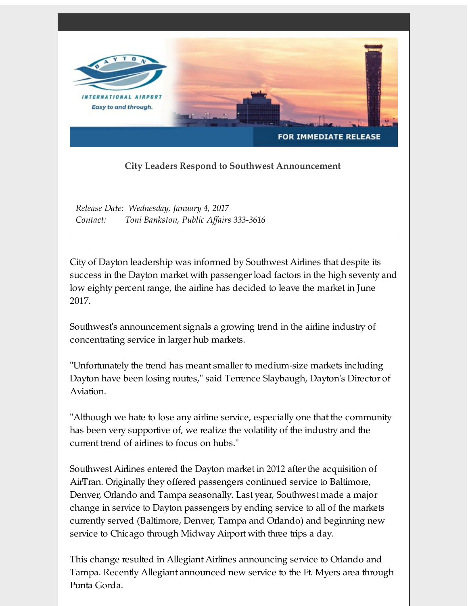

## **City Leaders Respond to Southwest Announcement**

*Release Date: Wednesday, January 4, 2017 Contact: Toni Bankston, Public Affairs 333-3616*

City of Dayton leadership was informed by Southwest Airlines that despite its success in the Dayton market with passenger load factors in the high seventy and low eighty percent range, the airline has decided to leave the market in June 2017.

Southwest's announcement signals a growing trend in the airline industry of concentrating service in larger hub markets.

"Unfortunately the trend has meant smaller to medium-size markets including Dayton have been losing routes," said Terrence Slaybaugh, Dayton's Director of Aviation.

"Although we hate to lose any airline service, especially one that the community has been very supportive of, we realize the volatility of the industry and the current trend of airlines to focus on hubs."

Southwest Airlines entered the Dayton market in 2012 after the acquisition of AirTran. Originally they offered passengers continued service to Baltimore, Denver, Orlando and Tampa seasonally. Last year, Southwest made a major change in service to Dayton passengers by ending service to all of the markets currently served (Baltimore, Denver, Tampa and Orlando) and beginning new service to Chicago through Midway Airport with three trips a day.

This change resulted in Allegiant Airlines announcing service to Orlando and Tampa. Recently Allegiant announced new service to the Ft. Myers area through Punta Gorda.